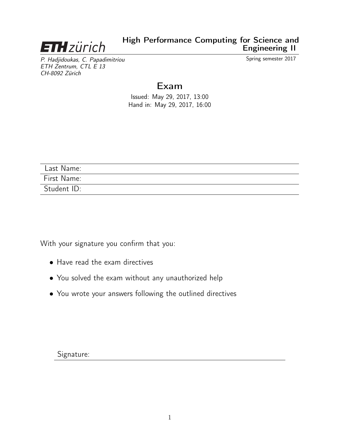<span id="page-0-0"></span>

P. Hadjidoukas, C. Papadimitriou Spring semester 2017 ETH Zentrum, CTL E 13 CH-8092 Zürich

# Exam

Issued: May 29, 2017, 13:00 Hand in: May 29, 2017, 16:00

| Last Name:  |  |
|-------------|--|
| First Name: |  |
| Student ID: |  |

With your signature you confirm that you:

- Have read the exam directives
- You solved the exam without any unauthorized help
- You wrote your answers following the outlined directives

Signature: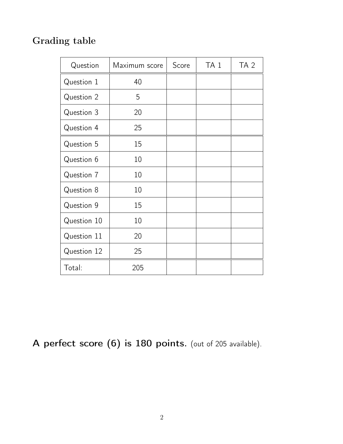# Grading table

| Question    | Maximum score | Score | TA <sub>1</sub> | TA <sub>2</sub> |
|-------------|---------------|-------|-----------------|-----------------|
| Question 1  | 40            |       |                 |                 |
| Question 2  | 5             |       |                 |                 |
| Question 3  | 20            |       |                 |                 |
| Question 4  | 25            |       |                 |                 |
| Question 5  | 15            |       |                 |                 |
| Question 6  | 10            |       |                 |                 |
| Question 7  | 10            |       |                 |                 |
| Question 8  | 10            |       |                 |                 |
| Question 9  | 15            |       |                 |                 |
| Question 10 | 10            |       |                 |                 |
| Question 11 | 20            |       |                 |                 |
| Question 12 | 25            |       |                 |                 |
| Total:      | 205           |       |                 |                 |

A perfect score (6) is 180 points. (out of 205 available).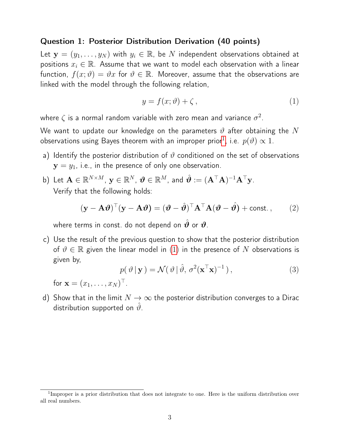#### Question 1: Posterior Distribution Derivation (40 points)

Let  $\mathbf{y} = (y_1, \dots, y_N)$  with  $y_i \in \mathbb{R}$ , be N independent observations obtained at positions  $x_i \in \mathbb{R}$ . Assume that we want to model each observation with a linear function,  $f(x; \vartheta) = \vartheta x$  for  $\vartheta \in \mathbb{R}$ . Moreover, assume that the observations are linked with the model through the following relation,

<span id="page-2-0"></span>
$$
y = f(x; \vartheta) + \zeta, \tag{1}
$$

where  $\zeta$  is a normal random variable with zero mean and variance  $\sigma^2.$ 

We want to update our knowledge on the parameters  $\vartheta$  after obtaining the N observations using Bayes theorem with an improper prior $^1$  $^1$ , i.e.  $p(\vartheta) \propto 1$ .

- a) Identify the posterior distribution of  $\vartheta$  conditioned on the set of observations  $y = y_1$ , i.e., in the presence of only one observation.
- b) Let  $\mathbf{A}\in\mathbb{R}^{N\times M}$ ,  $\mathbf{y}\in\mathbb{R}^{N}$ ,  $\boldsymbol{\vartheta}\in\mathbb{R}^{M}$ , and  $\hat{\boldsymbol{\vartheta}}:=(\mathbf{A}^{\top}\mathbf{A})^{-1}\mathbf{A}^{\top}\mathbf{y}$ . Verify that the following holds:

$$
(\mathbf{y} - \mathbf{A}\boldsymbol{\vartheta})^{\top}(\mathbf{y} - \mathbf{A}\boldsymbol{\vartheta}) = (\boldsymbol{\vartheta} - \hat{\boldsymbol{\vartheta}})^{\top} \mathbf{A}^{\top} \mathbf{A} (\boldsymbol{\vartheta} - \hat{\boldsymbol{\vartheta}}) + \text{const.},
$$
 (2)

where terms in const. do not depend on  $\hat{\theta}$  or  $\hat{\theta}$ .

c) Use the result of the previous question to show that the posterior distribution of  $\vartheta \in \mathbb{R}$  given the linear model in [\(1\)](#page-2-0) in the presence of N observations is given by,

$$
p(\vartheta \mid \mathbf{y}) = \mathcal{N}(\vartheta \mid \hat{\vartheta}, \sigma^2(\mathbf{x}^\top \mathbf{x})^{-1}), \qquad (3)
$$

for  $\mathbf{x}=(x_1,\ldots,x_N)^\top$ .

d) Show that in the limit  $N \to \infty$  the posterior distribution converges to a Dirac distribution supported on  $\hat{\vartheta}$ .

<sup>&</sup>lt;sup>1</sup>Improper is a prior distribution that does not integrate to one. Here is the uniform distribution over all real numbers.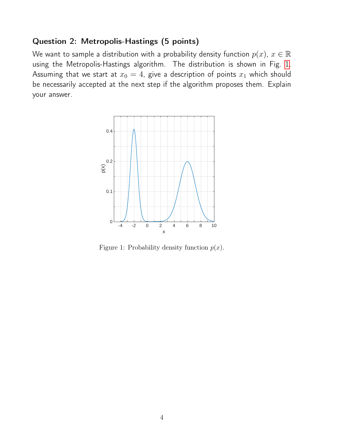#### Question 2: Metropolis-Hastings (5 points)

We want to sample a distribution with a probability density function  $p(x)$ ,  $x \in \mathbb{R}$ using the Metropolis-Hastings algorithm. The distribution is shown in Fig. [1.](#page-3-0) Assuming that we start at  $x_0 = 4$ , give a description of points  $x_1$  which should be necessarily accepted at the next step if the algorithm proposes them. Explain your answer.



<span id="page-3-0"></span>Figure 1: Probability density function  $p(x)$ .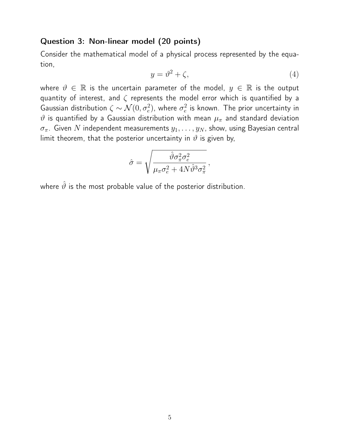#### Question 3: Non-linear model (20 points)

Consider the mathematical model of a physical process represented by the equation,

$$
y = \vartheta^2 + \zeta,\tag{4}
$$

where  $\vartheta \in \mathbb{R}$  is the uncertain parameter of the model,  $y \in \mathbb{R}$  is the output quantity of interest, and  $\zeta$  represents the model error which is quantified by a Gaussian distribution  $\zeta \sim \mathcal{N}(0, \sigma_e^2)$ , where  $\sigma_e^2$  $\frac{2}{e}$  is known. The prior uncertainty in  $\vartheta$  is quantified by a Gaussian distribution with mean  $\mu_\pi$  and standard deviation  $\sigma_{\pi}$ . Given N independent measurements  $y_1, \ldots, y_N$ , show, using Bayesian central limit theorem, that the posterior uncertainty in  $\vartheta$  is given by,

$$
\hat{\sigma} = \sqrt{\frac{\hat{\vartheta} \sigma_{\pi}^2 \sigma_e^2}{\mu_{\pi} \sigma_e^2 + 4N \hat{\vartheta}^3 \sigma_{\pi}^2}},
$$

where  $\hat{\vartheta}$  is the most probable value of the posterior distribution.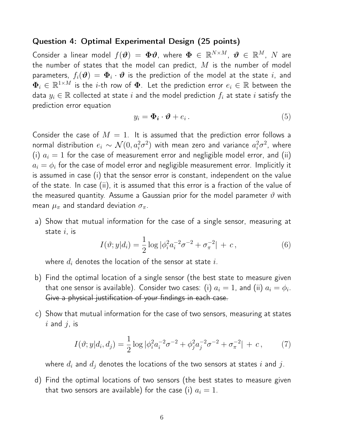#### Question 4: Optimal Experimental Design (25 points)

Consider a linear model  $f(\bm{\vartheta})~=~\bm{\Phi}\bm{\vartheta},$  where  $\bm{\Phi}~\in~\mathbb{R}^{N\times M},~\bm{\vartheta}~\in~\mathbb{R}^M,~N$  are the number of states that the model can predict,  $M$  is the number of model parameters,  $f_i(\bm{\vartheta})\,=\,\bm{\Phi}_i\cdot\bm{\vartheta}$  is the prediction of the model at the state  $i$ , and  $\mathbf{\Phi}_i \in \mathbb{R}^{1 \times M}$  is the  $i$ -th row of  $\mathbf{\Phi}$ . Let the prediction error  $e_i \in \mathbb{R}$  between the data  $y_i \in \mathbb{R}$  collected at state i and the model prediction  $f_i$  at state i satisfy the prediction error equation

$$
y_i = \mathbf{\Phi}_i \cdot \mathbf{\vartheta} + e_i \,. \tag{5}
$$

Consider the case of  $M = 1$ . It is assumed that the prediction error follows a normal distribution  $e_i \sim \mathcal{N}(0, a_i^2 \sigma^2)$  with mean zero and variance  $a_i^2 \sigma^2$ , where (i)  $a_i = 1$  for the case of measurement error and negligible model error, and (ii)  $a_i = \phi_i$  for the case of model error and negligible measurement error. Implicitly it is assumed in case (i) that the sensor error is constant, independent on the value of the state. In case (ii), it is assumed that this error is a fraction of the value of the measured quantity. Assume a Gaussian prior for the model parameter  $\vartheta$  with mean  $\mu_{\pi}$  and standard deviation  $\sigma_{\pi}$ .

a) Show that mutual information for the case of a single sensor, measuring at state  $i$ , is

$$
I(\vartheta; y|d_i) = \frac{1}{2} \log |\phi_i^2 a_i^{-2} \sigma^{-2} + \sigma_{\pi}^{-2}| + c,\tag{6}
$$

where  $d_i$  denotes the location of the sensor at state i.

- b) Find the optimal location of a single sensor (the best state to measure given that one sensor is available). Consider two cases: (i)  $a_i=1$ , and (ii)  $a_i=\phi_i.$ Give a physical justification of your findings in each case.
- c) Show that mutual information for the case of two sensors, measuring at states  $i$  and  $j$ , is

$$
I(\vartheta; y|d_i, d_j) = \frac{1}{2} \log |\phi_i^2 a_i^{-2} \sigma^{-2} + \phi_j^2 a_j^{-2} \sigma^{-2} + \sigma_{\pi}^{-2}| + c, \qquad (7)
$$

where  $d_i$  and  $d_j$  denotes the locations of the two sensors at states i and j.

d) Find the optimal locations of two sensors (the best states to measure given that two sensors are available) for the case (i)  $a_i = 1$ .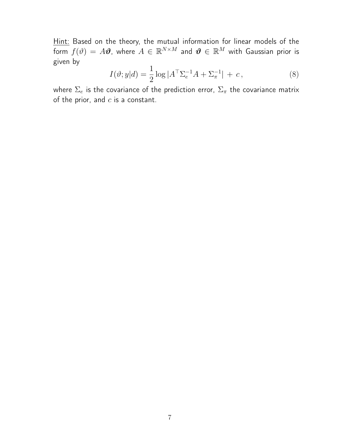Hint: Based on the theory, the mutual information for linear models of the form  $f(\vartheta)\,=\,A\boldsymbol{\vartheta},$  where  $A\,\in\,\mathbb{R}^{N\times M}$  and  $\boldsymbol{\vartheta}\,\in\,\mathbb{R}^M$  with Gaussian prior is given by

$$
I(\vartheta; y|d) = \frac{1}{2} \log |A^{\top} \Sigma_e^{-1} A + \Sigma_{\pi}^{-1}| + c, \qquad (8)
$$

where  $\Sigma_e$  is the covariance of the prediction error,  $\Sigma_{\pi}$  the covariance matrix of the prior, and  $c$  is a constant.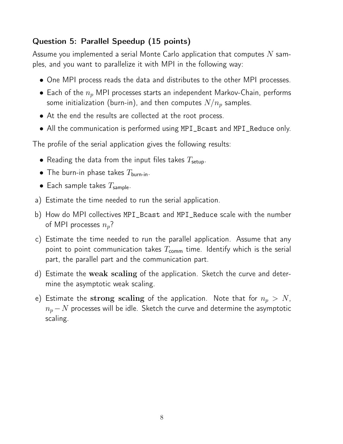# Question 5: Parallel Speedup (15 points)

Assume you implemented a serial Monte Carlo application that computes  $N$  samples, and you want to parallelize it with MPI in the following way:

- One MPI process reads the data and distributes to the other MPI processes.
- Each of the  $n_p$  MPI processes starts an independent Markov-Chain, performs some initialization (burn-in), and then computes  $N/n_p$  samples.
- At the end the results are collected at the root process.
- All the communication is performed using MPI\_Bcast and MPI\_Reduce only.

The profile of the serial application gives the following results:

- Reading the data from the input files takes  $T_{\text{setup}}$ .
- The burn-in phase takes  $T_{\text{burn-in}}$ .
- Each sample takes  $T_{\text{sample}}$ .
- a) Estimate the time needed to run the serial application.
- b) How do MPI collectives MPI\_Bcast and MPI\_Reduce scale with the number of MPI processes  $n_p$ ?
- c) Estimate the time needed to run the parallel application. Assume that any point to point communication takes  $T_{\text{comm}}$  time. Identify which is the serial part, the parallel part and the communication part.
- d) Estimate the weak scaling of the application. Sketch the curve and determine the asymptotic weak scaling.
- e) Estimate the strong scaling of the application. Note that for  $n_p > N$ ,  $n_p - N$  processes will be idle. Sketch the curve and determine the asymptotic scaling.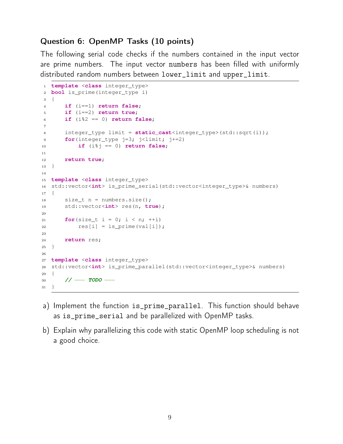## Question 6: OpenMP Tasks (10 points)

The following serial code checks if the numbers contained in the input vector are prime numbers. The input vector numbers has been filled with uniformly distributed random numbers between lower\_limit and upper\_limit.

```
1 template <class integer_type>
2 bool is_prime(integer_type i)
3 {
4 if (i==1) return false;
5 if (i==2) return true;
6 if (i%2 == 0) return false;
7
8 integer_type limit = static_cast<integer_type>(std::sqrt(i));
9 for(integer_type j=3; j<limit; j+=2)
10 if (i%j == 0) return false;
11
12 return true;
13 }
14
15 template <class integer_type>
16 std::vector<int> is_prime_serial(std::vector<integer_type>& numbers)
17 {
18 size_t n = numbers.size();
19 std::vector<int> res(n, true);
20
21 for(size_t i = 0; i < n; ++i)
res[i] = is prime(val[i]);2324 return res;
25 }
26
27 template <class integer_type>
28 std::vector<int> is_prime_parallel(std::vector<integer_type>& numbers)
29 {
30 // −−− TODO −−
31 }
```
- a) Implement the function is\_prime\_parallel. This function should behave as is\_prime\_serial and be parallelized with OpenMP tasks.
- b) Explain why parallelizing this code with static OpenMP loop scheduling is not a good choice.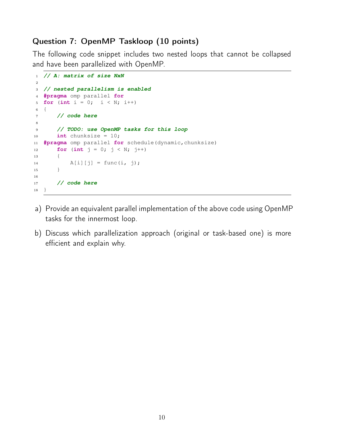## Question 7: OpenMP Taskloop (10 points)

The following code snippet includes two nested loops that cannot be collapsed and have been parallelized with OpenMP.

```
1 // A: matrix of size NxN
\overline{2}3 // nested parallelism is enabled
4 #pragma omp parallel for
5 for (int i = 0; i < N; i++)
6 {
7 // code here
8
9 // TODO: use OpenMP tasks for this loop
10 int chunksize = 10;
11 #pragma omp parallel for schedule(dynamic,chunksize)
12 for (int j = 0; j < N; j++)13 {
14 A[i][j] = func(i, j);15 }
16
17 // code here
18 }
```
- a) Provide an equivalent parallel implementation of the above code using OpenMP tasks for the innermost loop.
- b) Discuss which parallelization approach (original or task-based one) is more efficient and explain why.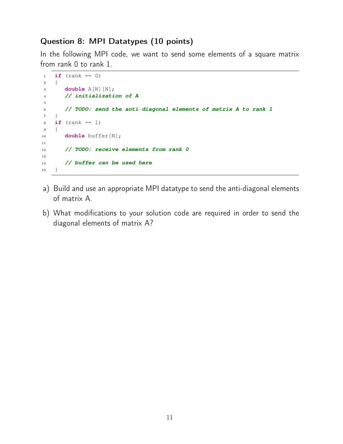## Question 8: MPI Datatypes (10 points)

In the following MPI code, we want to send some elements of a square matrix from rank 0 to rank 1.

```
1 if (rank == 0)2 {
3 double A[N][N];
4 // initialization of A
5
6 // TODO: send the anti−diagonal elements of matrix A to rank 1
7 }
8 if (rank == 1)
9 {
10 double buffer[N];
11
12 // TODO: receive elements from rank 0
13
14 // buffer can be used here
15 }
```
- a) Build and use an appropriate MPI datatype to send the anti-diagonal elements of matrix A.
- b) What modifications to your solution code are required in order to send the diagonal elements of matrix A?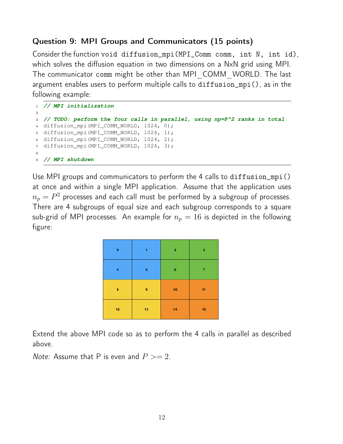## Question 9: MPI Groups and Communicators (15 points)

Consider the function void diffusion\_mpi(MPI\_Comm comm, int N, int id), which solves the diffusion equation in two dimensions on a NxN grid using MPI. The communicator comm might be other than MPI\_COMM\_WORLD. The last argument enables users to perform multiple calls to diffusion\_mpi(), as in the following example:

```
1 // MPI initialization
2
3 // TODO: perform the four calls in parallel, using np=P^2 ranks in total
4 diffusion_mpi(MPI_COMM_WORLD, 1024, 0);
5 diffusion_mpi(MPI_COMM_WORLD, 1024, 1);
6 diffusion_mpi(MPI_COMM_WORLD, 1024, 2);
<sup>7</sup> diffusion mpi(MPI COMM WORLD, 1024, 3);
8
9 // MPI shutdown
```
Use MPI groups and communicators to perform the 4 calls to diffusion mpi() at once and within a single MPI application. Assume that the application uses  $n_p=P^2$  processes and each call must be performed by a subgroup of processes. There are 4 subgroups of equal size and each subgroup corresponds to a square sub-grid of MPI processes. An example for  $n_p = 16$  is depicted in the following figure:

| $\pmb{\mathsf{o}}$ | 1  | $\mathbf{2}$ | 3  |
|--------------------|----|--------------|----|
| 4                  | 5  | $\bf 6$      | 7  |
| 8                  | 9  | ${\bf 10}$   | 11 |
| $12 \overline{ }$  | 13 | 14           | 15 |

Extend the above MPI code so as to perform the 4 calls in parallel as described above.

*Note:* Assume that P is even and  $P >= 2$ .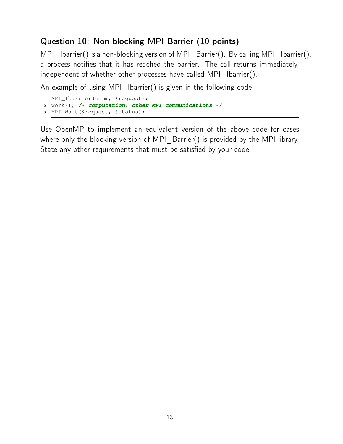# Question 10: Non-blocking MPI Barrier (10 points)

MPI\_Ibarrier() is a non-blocking version of MPI\_Barrier(). By calling MPI\_Ibarrier(), a process notifies that it has reached the barrier. The call returns immediately, independent of whether other processes have called MPI Ibarrier().

An example of using MPI Ibarrier() is given in the following code:

```
1 MPI_Ibarrier(comm, &request);
2 work(); /∗ computation, other MPI communications ∗/
3 MPI_Wait(&request, &status);
```
Use OpenMP to implement an equivalent version of the above code for cases where only the blocking version of MPI\_Barrier() is provided by the MPI library. State any other requirements that must be satisfied by your code.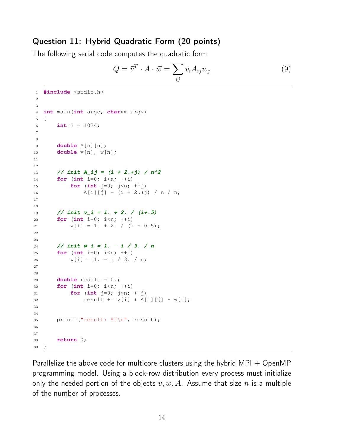### Question 11: Hybrid Quadratic Form (20 points)

The following serial code computes the quadratic form

$$
Q = \vec{v}^T \cdot A \cdot \vec{w} = \sum_{ij} v_i A_{ij} w_j \tag{9}
$$

```
1 #include <stdio.h>
\circ3
4 int main(int argc, char∗∗ argv)
5 {
6 int n = 1024;
7
8
9 double A[n][n];
10 double v[n], w[n];
11
12
13 // init A_ij = (i + 2.∗j) / n^2
14 for (int i=0; i<n; ++i)
15 for (int j=0; j<n; ++j)
16 A[i][j] = (i + 2.*j) / n / n;17
18
19 // init v_i = 1. + 2. / (i+.5)
20 for (int i=0; i<n; ++i)
21 V[i] = 1 + 2, (i + 0.5);
22
23
24 // init w_i = 1. − i / 3. / n
25 for (int i=0; i<n; ++i)
26 w[i] = 1 - i / 3. / n;27
28
29 double result = 0.;
30 for (int i=0; i<n; ++i)
31 for (int j=0; j<n; ++j)
32 result += v[i] ∗ A[i][j] ∗ w[j];
33
34
35 printf("result: %f\n", result);
36
37
38 return 0;
39 }
```
Parallelize the above code for multicore clusters using the hybrid  $MPI + OpenMP$ programming model. Using a block-row distribution every process must initialize only the needed portion of the objects  $v, w, A$ . Assume that size  $n$  is a multiple of the number of processes.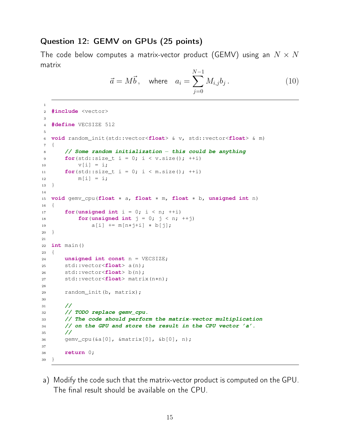#### Question 12: GEMV on GPUs (25 points)

The code below computes a matrix-vector product (GEMV) using an  $N \times N$ matrix

$$
\vec{a} = M\vec{b}, \quad \text{where} \quad a_i = \sum_{j=0}^{N-1} M_{i,j} b_j. \tag{10}
$$

```
2 #include <vector>
3
4 #define VECSIZE 512
5
6 void random_init(std::vector<float> & v, std::vector<float> & m)
7 {
8 // Some random initialization − this could be anything
9 for(std::size t i = 0; i < v.size(); ++i)
10 V[i] = i;11 for(std::size_t i = 0; i < m.size(); ++i)
12 m[i] = i;13 }
14
15 void gemv_cpu(float ∗ a, float ∗ m, float ∗ b, unsigned int n)
16 \quad \{17 for(unsigned int i = 0; i < n; ++i)
18 for(unsigned int j = 0; j < n; ++j)
19 a [i] += m[n*j+i] * b[j];
20 }
21
22 int main()
23 {
24 unsigned int const n = VECSIZE;
25 std::vector<float> a(n);
26 std::vector<float> b(n);
27 std::vector<float> matrix(n∗n);
28
29 random_init(b, matrix);
30
31 //
32 // TODO replace gemv_cpu.
33 // The code should perform the matrix−vector multiplication
34 // on the GPU and store the result in the CPU vector 'a'.
35 //
36 gemv_cpu(&a[0], &matrix[0], &b[0], n);
37
38 return 0;
39 }
```
a) Modify the code such that the matrix-vector product is computed on the GPU. The final result should be available on the CPU.